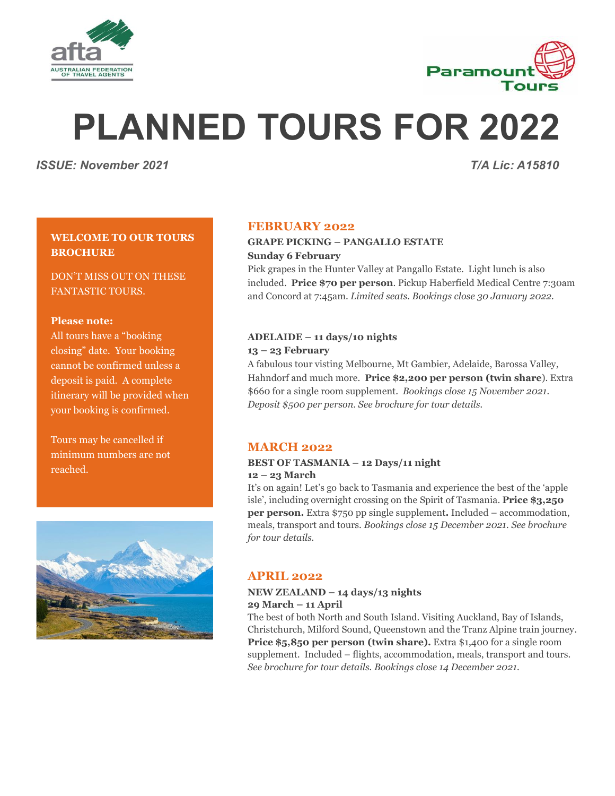



# **PLANNED TOURS FOR 2022**

*ISSUE: November 2021 T/A Lic: A15810*

# **WELCOME TO OUR TOURS BROCHURE**

DON'T MISS OUT ON THESE FANTASTIC TOURS.

#### **Please note:**

All tours have a "booking closing" date. Your booking cannot be confirmed unless a deposit is paid. A complete itinerary will be provided when your booking is confirmed.

Tours may be cancelled if minimum numbers are not reached.



# **FEBRUARY 2022**

### **GRAPE PICKING – PANGALLO ESTATE Sunday 6 February**

Pick grapes in the Hunter Valley at Pangallo Estate. Light lunch is also included. **Price \$70 per person**. Pickup Haberfield Medical Centre 7:30am and Concord at 7:45am. *Limited seats. Bookings close 30 January 2022.*

#### **ADELAIDE – 11 days/10 nights**

#### **13 – 23 February**

A fabulous tour visting Melbourne, Mt Gambier, Adelaide, Barossa Valley, Hahndorf and much more. **Price \$2,200 per person (twin share**). Extra \$660 for a single room supplement. *Bookings close 15 November 2021. Deposit \$500 per person. See brochure for tour details.*

# **MARCH 2022**

#### **BEST OF TASMANIA – 12 Days/11 night 12 – 23 March**

It's on again! Let's go back to Tasmania and experience the best of the 'apple isle', including overnight crossing on the Spirit of Tasmania. **Price \$3,250 per person.** Extra \$750 pp single supplement**.** Included – accommodation, meals, transport and tours. *Bookings close 15 December 2021. See brochure for tour details.*

# **APRIL 2022**

#### **NEW ZEALAND – 14 days/13 nights 29 March – 11 April**

The best of both North and South Island. Visiting Auckland, Bay of Islands, Christchurch, Milford Sound, Queenstown and the Tranz Alpine train journey. **Price \$5,850 per person (twin share).** Extra \$1,400 for a single room supplement. Included – flights, accommodation, meals, transport and tours. *See brochure for tour details. Bookings close 14 December 2021.*